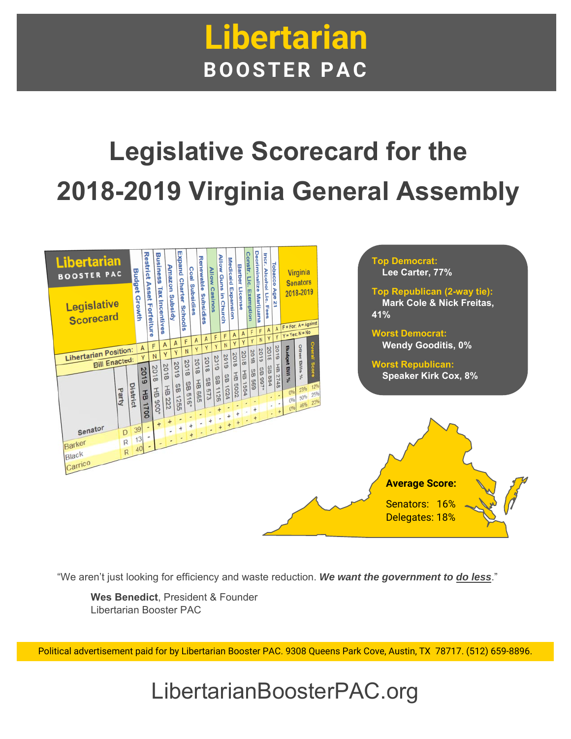## **Libertarian BOOSTER PAC**

# **Legislative Scorecard for the 2018-2019 Virginia General Assembly**



"We aren't just looking for efficiency and waste reduction. *We want the government to do less*."

**Wes Benedict**, President & Founder Libertarian Booster PAC

Political advertisement paid for by Libertarian Booster PAC. 9308 Queens Park Cove, Austin, TX 78717. (512) 659-8896.

### LibertarianBoosterPAC.org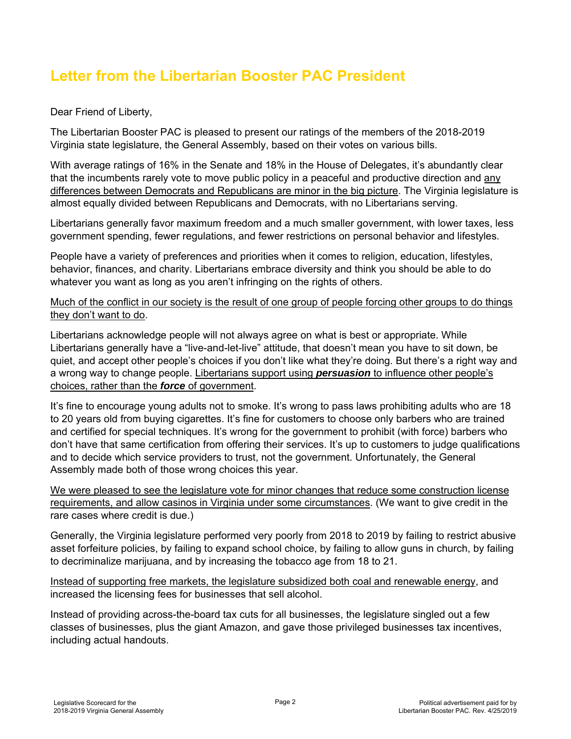#### **Letter from the Libertarian Booster PAC President**

Dear Friend of Liberty,

The Libertarian Booster PAC is pleased to present our ratings of the members of the 2018-2019 Virginia state legislature, the General Assembly, based on their votes on various bills.

With average ratings of 16% in the Senate and 18% in the House of Delegates, it's abundantly clear that the incumbents rarely vote to move public policy in a peaceful and productive direction and any differences between Democrats and Republicans are minor in the big picture. The Virginia legislature is almost equally divided between Republicans and Democrats, with no Libertarians serving.

Libertarians generally favor maximum freedom and a much smaller government, with lower taxes, less government spending, fewer regulations, and fewer restrictions on personal behavior and lifestyles.

People have a variety of preferences and priorities when it comes to religion, education, lifestyles, behavior, finances, and charity. Libertarians embrace diversity and think you should be able to do whatever you want as long as you aren't infringing on the rights of others.

Much of the conflict in our society is the result of one group of people forcing other groups to do things they don't want to do.

Libertarians acknowledge people will not always agree on what is best or appropriate. While Libertarians generally have a "live-and-let-live" attitude, that doesn't mean you have to sit down, be quiet, and accept other people's choices if you don't like what they're doing. But there's a right way and a wrong way to change people. Libertarians support using *persuasion* to influence other people's choices, rather than the *force* of government.

It's fine to encourage young adults not to smoke. It's wrong to pass laws prohibiting adults who are 18 to 20 years old from buying cigarettes. It's fine for customers to choose only barbers who are trained and certified for special techniques. It's wrong for the government to prohibit (with force) barbers who don't have that same certification from offering their services. It's up to customers to judge qualifications and to decide which service providers to trust, not the government. Unfortunately, the General Assembly made both of those wrong choices this year.

We were pleased to see the legislature vote for minor changes that reduce some construction license requirements, and allow casinos in Virginia under some circumstances. (We want to give credit in the rare cases where credit is due.)

Generally, the Virginia legislature performed very poorly from 2018 to 2019 by failing to restrict abusive asset forfeiture policies, by failing to expand school choice, by failing to allow guns in church, by failing to decriminalize marijuana, and by increasing the tobacco age from 18 to 21.

Instead of supporting free markets, the legislature subsidized both coal and renewable energy, and increased the licensing fees for businesses that sell alcohol.

Instead of providing across-the-board tax cuts for all businesses, the legislature singled out a few classes of businesses, plus the giant Amazon, and gave those privileged businesses tax incentives, including actual handouts.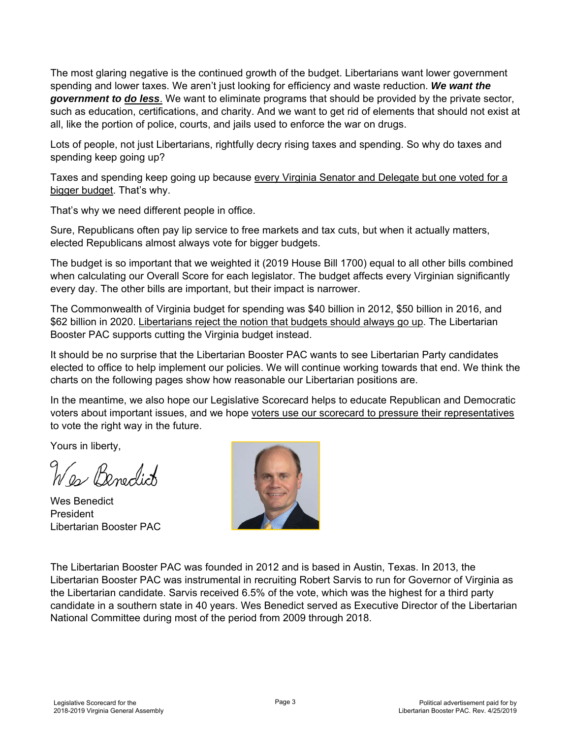The most glaring negative is the continued growth of the budget. Libertarians want lower government spending and lower taxes. We aren't just looking for efficiency and waste reduction. *We want the government to do less*. We want to eliminate programs that should be provided by the private sector, such as education, certifications, and charity. And we want to get rid of elements that should not exist at all, like the portion of police, courts, and jails used to enforce the war on drugs.

Lots of people, not just Libertarians, rightfully decry rising taxes and spending. So why do taxes and spending keep going up?

Taxes and spending keep going up because every Virginia Senator and Delegate but one voted for a bigger budget. That's why.

That's why we need different people in office.

Sure, Republicans often pay lip service to free markets and tax cuts, but when it actually matters, elected Republicans almost always vote for bigger budgets.

The budget is so important that we weighted it (2019 House Bill 1700) equal to all other bills combined when calculating our Overall Score for each legislator. The budget affects every Virginian significantly every day. The other bills are important, but their impact is narrower.

The Commonwealth of Virginia budget for spending was \$40 billion in 2012, \$50 billion in 2016, and \$62 billion in 2020. Libertarians reject the notion that budgets should always go up. The Libertarian Booster PAC supports cutting the Virginia budget instead.

It should be no surprise that the Libertarian Booster PAC wants to see Libertarian Party candidates elected to office to help implement our policies. We will continue working towards that end. We think the charts on the following pages show how reasonable our Libertarian positions are.

In the meantime, we also hope our Legislative Scorecard helps to educate Republican and Democratic voters about important issues, and we hope voters use our scorecard to pressure their representatives to vote the right way in the future.

Yours in liberty,

Was Benedict

Wes Benedict President Libertarian Booster PAC



The Libertarian Booster PAC was founded in 2012 and is based in Austin, Texas. In 2013, the Libertarian Booster PAC was instrumental in recruiting Robert Sarvis to run for Governor of Virginia as the Libertarian candidate. Sarvis received 6.5% of the vote, which was the highest for a third party candidate in a southern state in 40 years. Wes Benedict served as Executive Director of the Libertarian National Committee during most of the period from 2009 through 2018.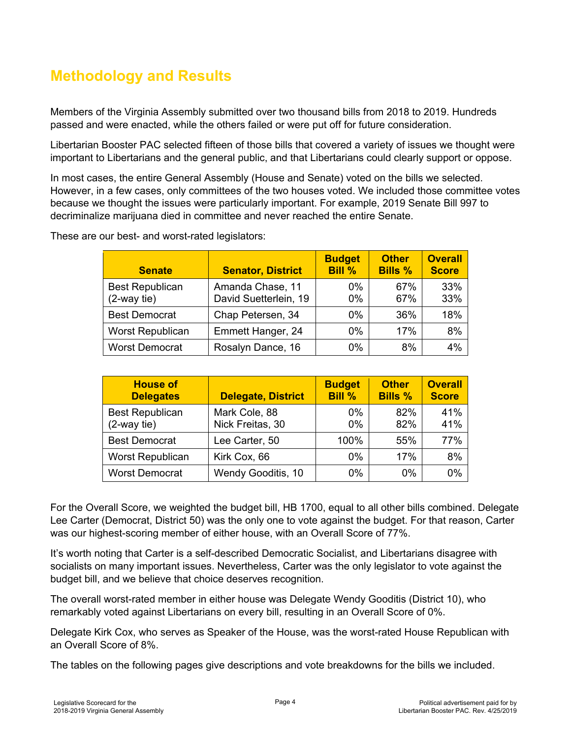#### **Methodology and Results**

Members of the Virginia Assembly submitted over two thousand bills from 2018 to 2019. Hundreds passed and were enacted, while the others failed or were put off for future consideration.

Libertarian Booster PAC selected fifteen of those bills that covered a variety of issues we thought were important to Libertarians and the general public, and that Libertarians could clearly support or oppose.

In most cases, the entire General Assembly (House and Senate) voted on the bills we selected. However, in a few cases, only committees of the two houses voted. We included those committee votes because we thought the issues were particularly important. For example, 2019 Senate Bill 997 to decriminalize marijuana died in committee and never reached the entire Senate.

| <b>Senate</b>                            | <b>Senator, District</b>                  | <b>Budget</b><br><b>Bill %</b> | <b>Other</b><br><b>Bills %</b> | <b>Overall</b><br><b>Score</b> |
|------------------------------------------|-------------------------------------------|--------------------------------|--------------------------------|--------------------------------|
| <b>Best Republican</b><br>$(2$ -way tie) | Amanda Chase, 11<br>David Suetterlein, 19 | 0%<br>$0\%$                    | 67%<br>67%                     | 33%<br>33%                     |
| <b>Best Democrat</b>                     | Chap Petersen, 34                         | 0%                             | 36%                            | 18%                            |
| Worst Republican                         | Emmett Hanger, 24                         | 0%                             | 17%                            | 8%                             |
| <b>Worst Democrat</b>                    | Rosalyn Dance, 16                         | 0%                             | 8%                             | 4%                             |

These are our best- and worst-rated legislators:

| <b>House of</b><br><b>Delegates</b>   | <b>Delegate, District</b>         | <b>Budget</b><br><b>Bill %</b> | <b>Other</b><br><b>Bills %</b> | <b>Overall</b><br><b>Score</b> |
|---------------------------------------|-----------------------------------|--------------------------------|--------------------------------|--------------------------------|
| <b>Best Republican</b><br>(2-way tie) | Mark Cole, 88<br>Nick Freitas, 30 | $0\%$<br>$0\%$                 | 82%<br>82%                     | 41%<br>41%                     |
| <b>Best Democrat</b>                  | Lee Carter, 50                    | 100%                           | 55%                            | 77%                            |
| Worst Republican                      | Kirk Cox, 66                      | 0%                             | 17%                            | 8%                             |
| <b>Worst Democrat</b>                 | Wendy Gooditis, 10                | $0\%$                          | $0\%$                          | 0%                             |

For the Overall Score, we weighted the budget bill, HB 1700, equal to all other bills combined. Delegate Lee Carter (Democrat, District 50) was the only one to vote against the budget. For that reason, Carter was our highest-scoring member of either house, with an Overall Score of 77%.

It's worth noting that Carter is a self-described Democratic Socialist, and Libertarians disagree with socialists on many important issues. Nevertheless, Carter was the only legislator to vote against the budget bill, and we believe that choice deserves recognition.

The overall worst-rated member in either house was Delegate Wendy Gooditis (District 10), who remarkably voted against Libertarians on every bill, resulting in an Overall Score of 0%.

Delegate Kirk Cox, who serves as Speaker of the House, was the worst-rated House Republican with an Overall Score of 8%.

The tables on the following pages give descriptions and vote breakdowns for the bills we included.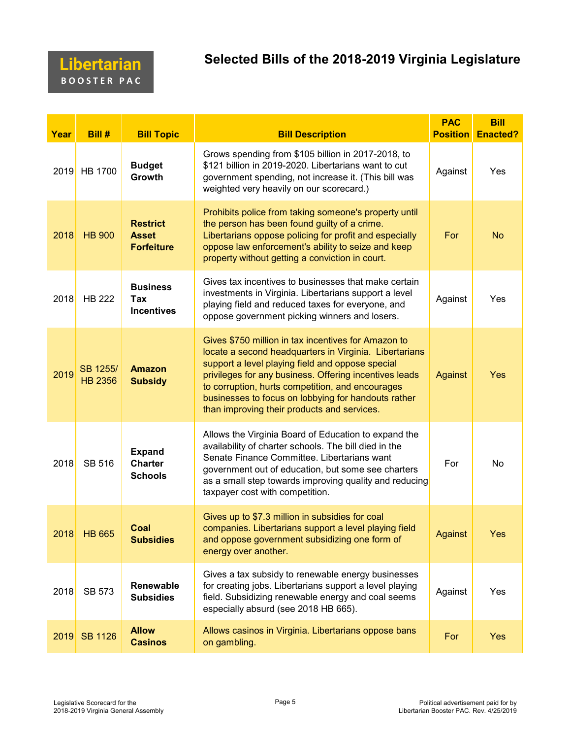#### **Libertarian B O O S T E R P A C**

#### **Selected Bills of the 2018-2019 Virginia Legislature**

| Year | Bill #                     | <b>Bill Topic</b>                                    | <b>Bill Description</b>                                                                                                                                                                                                                                                                                                                                                               | <b>PAC</b><br><b>Position</b> | <b>Bill</b><br><b>Enacted?</b> |
|------|----------------------------|------------------------------------------------------|---------------------------------------------------------------------------------------------------------------------------------------------------------------------------------------------------------------------------------------------------------------------------------------------------------------------------------------------------------------------------------------|-------------------------------|--------------------------------|
| 2019 | <b>HB 1700</b>             | <b>Budget</b><br>Growth                              | Grows spending from \$105 billion in 2017-2018, to<br>\$121 billion in 2019-2020. Libertarians want to cut<br>government spending, not increase it. (This bill was<br>weighted very heavily on our scorecard.)                                                                                                                                                                        | Against                       | Yes                            |
| 2018 | <b>HB 900</b>              | <b>Restrict</b><br><b>Asset</b><br><b>Forfeiture</b> | Prohibits police from taking someone's property until<br>the person has been found guilty of a crime.<br>Libertarians oppose policing for profit and especially<br>oppose law enforcement's ability to seize and keep<br>property without getting a conviction in court.                                                                                                              | For                           | <b>No</b>                      |
| 2018 | <b>HB 222</b>              | <b>Business</b><br>Tax<br><b>Incentives</b>          | Gives tax incentives to businesses that make certain<br>investments in Virginia. Libertarians support a level<br>playing field and reduced taxes for everyone, and<br>oppose government picking winners and losers.                                                                                                                                                                   | Against                       | Yes                            |
| 2019 | SB 1255/<br><b>HB 2356</b> | <b>Amazon</b><br><b>Subsidy</b>                      | Gives \$750 million in tax incentives for Amazon to<br>locate a second headquarters in Virginia. Libertarians<br>support a level playing field and oppose special<br>privileges for any business. Offering incentives leads<br>to corruption, hurts competition, and encourages<br>businesses to focus on lobbying for handouts rather<br>than improving their products and services. | Against                       | Yes                            |
| 2018 | <b>SB 516</b>              | <b>Expand</b><br><b>Charter</b><br><b>Schools</b>    | Allows the Virginia Board of Education to expand the<br>availability of charter schools. The bill died in the<br>Senate Finance Committee. Libertarians want<br>government out of education, but some see charters<br>as a small step towards improving quality and reducing<br>taxpayer cost with competition.                                                                       | For                           | No                             |
|      | 2018 HB 665                | Coal<br><b>Subsidies</b>                             | Gives up to \$7.3 million in subsidies for coal<br>companies. Libertarians support a level playing field<br>and oppose government subsidizing one form of<br>energy over another.                                                                                                                                                                                                     | Against                       | Yes                            |
| 2018 | <b>SB 573</b>              | <b>Renewable</b><br><b>Subsidies</b>                 | Gives a tax subsidy to renewable energy businesses<br>for creating jobs. Libertarians support a level playing<br>field. Subsidizing renewable energy and coal seems<br>especially absurd (see 2018 HB 665).                                                                                                                                                                           | Against                       | Yes                            |
| 2019 | <b>SB 1126</b>             | <b>Allow</b><br><b>Casinos</b>                       | Allows casinos in Virginia. Libertarians oppose bans<br>on gambling.                                                                                                                                                                                                                                                                                                                  | For                           | <b>Yes</b>                     |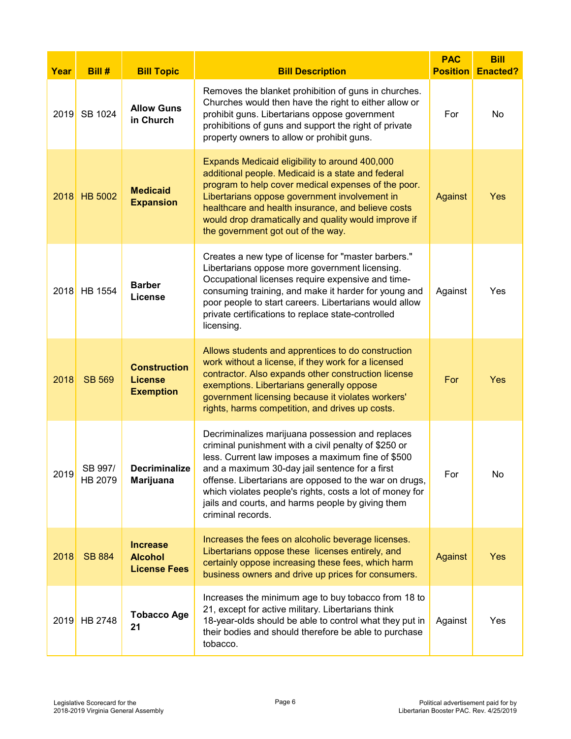| Year | Bill #             | <b>Bill Topic</b>                                         | <b>Bill Description</b>                                                                                                                                                                                                                                                                                                                                                                                         | <b>PAC</b><br><b>Position</b> | <b>Bill</b><br><b>Enacted?</b> |
|------|--------------------|-----------------------------------------------------------|-----------------------------------------------------------------------------------------------------------------------------------------------------------------------------------------------------------------------------------------------------------------------------------------------------------------------------------------------------------------------------------------------------------------|-------------------------------|--------------------------------|
| 2019 | SB 1024            | <b>Allow Guns</b><br>in Church                            | Removes the blanket prohibition of guns in churches.<br>Churches would then have the right to either allow or<br>prohibit guns. Libertarians oppose government<br>prohibitions of guns and support the right of private<br>property owners to allow or prohibit guns.                                                                                                                                           | For                           | No                             |
| 2018 | <b>HB 5002</b>     | <b>Medicaid</b><br><b>Expansion</b>                       | Expands Medicaid eligibility to around 400,000<br>additional people. Medicaid is a state and federal<br>program to help cover medical expenses of the poor.<br>Libertarians oppose government involvement in<br>healthcare and health insurance, and believe costs<br>would drop dramatically and quality would improve if<br>the government got out of the way.                                                | Against                       | <b>Yes</b>                     |
| 2018 | HB 1554            | <b>Barber</b><br>License                                  | Creates a new type of license for "master barbers."<br>Libertarians oppose more government licensing.<br>Occupational licenses require expensive and time-<br>consuming training, and make it harder for young and<br>poor people to start careers. Libertarians would allow<br>private certifications to replace state-controlled<br>licensing.                                                                | Against                       | Yes                            |
| 2018 | <b>SB 569</b>      | <b>Construction</b><br><b>License</b><br><b>Exemption</b> | Allows students and apprentices to do construction<br>work without a license, if they work for a licensed<br>contractor. Also expands other construction license<br>exemptions. Libertarians generally oppose<br>government licensing because it violates workers'<br>rights, harms competition, and drives up costs.                                                                                           | For                           | Yes                            |
| 2019 | SB 997/<br>HB 2079 | <b>Decriminalize</b><br>Marijuana                         | Decriminalizes marijuana possession and replaces<br>criminal punishment with a civil penalty of \$250 or<br>less. Current law imposes a maximum fine of \$500<br>and a maximum 30-day jail sentence for a first<br>offense. Libertarians are opposed to the war on drugs,<br>which violates people's rights, costs a lot of money for<br>jails and courts, and harms people by giving them<br>criminal records. | For                           | No                             |
| 2018 | <b>SB 884</b>      | <b>Increase</b><br><b>Alcohol</b><br><b>License Fees</b>  | Increases the fees on alcoholic beverage licenses.<br>Libertarians oppose these licenses entirely, and<br>certainly oppose increasing these fees, which harm<br>business owners and drive up prices for consumers.                                                                                                                                                                                              | Against                       | <b>Yes</b>                     |
| 2019 | HB 2748            | <b>Tobacco Age</b><br>21                                  | Increases the minimum age to buy tobacco from 18 to<br>21, except for active military. Libertarians think<br>18-year-olds should be able to control what they put in<br>their bodies and should therefore be able to purchase<br>tobacco.                                                                                                                                                                       | Against                       | Yes                            |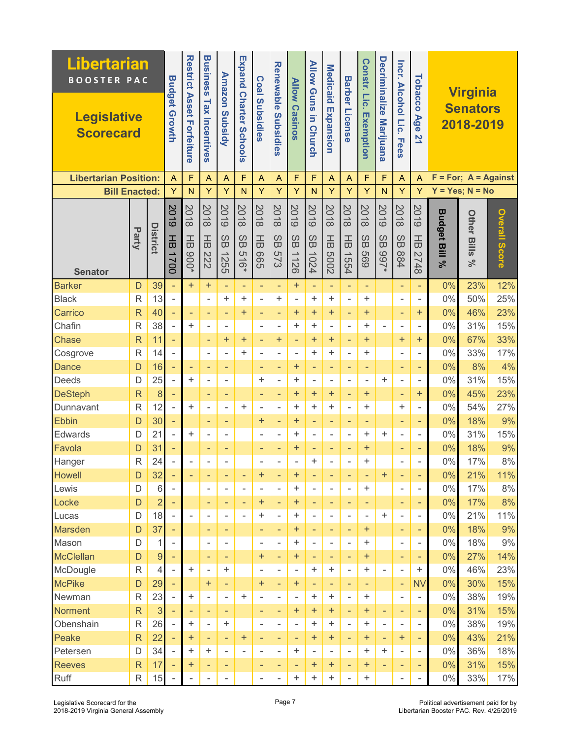| <b>Libertarian</b><br><b>BOOSTER PAC</b> |                |                 |                          |                                  | <b>Business</b>          | <b>Amazon</b>            |                        |                          |                               |                       | <b>Allow Guns</b>        | <b>Medicaid</b>          |                       | Constr. Lic.             | Decriminalize                                       |                            | Tobacco                  |                          | <b>Virginia</b>              |               |
|------------------------------------------|----------------|-----------------|--------------------------|----------------------------------|--------------------------|--------------------------|------------------------|--------------------------|-------------------------------|-----------------------|--------------------------|--------------------------|-----------------------|--------------------------|-----------------------------------------------------|----------------------------|--------------------------|--------------------------|------------------------------|---------------|
| <b>Legislative</b><br><b>Scorecard</b>   |                |                 | <b>Budget Growth</b>     | <b>Restrict Asset Forteiture</b> | Tax<br>Incentives        | Subsidy                  | Expand Charter Schools | <b>Coal Subsidies</b>    | <b>Renewable Subsidies</b>    | <b>Allow Casinos</b>  | in Church                | Expansion                | <b>Barber License</b> | Exemption                | <b>Marijuana</b>                                    | Incr. Alcohol Lic.<br>Fees | Age<br>21                |                          | <b>Senators</b><br>2018-2019 |               |
| <b>Libertarian Position:</b>             |                |                 | $\bigwedge$              | F                                | $\overline{A}$           | $\overline{A}$           | F                      | Α                        | $\overline{A}$                | $\mathsf{F}$          | F                        | A                        | $\overline{A}$        | F                        | F                                                   | $\overline{A}$             | $\overline{A}$           | F                        | $= For; A = Against$         |               |
| <b>Bill Enacted:</b>                     |                |                 | Υ                        | $\mathsf{N}$                     | Ÿ                        | Y                        | $\mathsf{N}$           | Ÿ                        | Y                             | Y                     | N                        | Υ                        | Y                     | Y                        | N                                                   | Y                          | Y                        |                          | $Y = Yes; N = No$            |               |
|                                          |                |                 | 5019                     | 2018                             | 2018                     | 8019                     | 2018                   | 2018                     | 2018                          | 8018                  | 2019                     | 2018                     | 2018                  | 2018                     | 5019                                                | 2018                       | 8019                     |                          |                              |               |
| <b>Senator</b>                           | Party          | <b>District</b> | 곰<br>1700                | 곰<br>$000*$                      | 곰<br>222                 | SB<br>1255               | SB<br>516*             | $\frac{1}{6}$<br>999     | SB<br><b>573</b>              | SB<br>1126            | SB<br>1024               | 곰<br>2009                | $\frac{1}{6}$<br>1554 | SB<br>699                | $\omega$<br>$\tilde{\mathbf{\omega}}$<br><b>766</b> | SB<br>884                  | 곰<br>2748                | <b>Budget Bill</b><br>వ్ | <b>Other Bills</b><br>ಸ      | Overall Score |
| <b>Barker</b>                            | D              | 39              | ÷,                       | $+$                              | $\ddot{}$                | ٠                        | ٠                      | ٠                        | ٠                             | $\ddot{}$             | ÷,                       | ٠                        | ۰                     | ٠                        |                                                     | ٠                          | ٠                        | 0%                       | 23%                          | 12%           |
| <b>Black</b>                             | $\mathsf{R}$   | 13              | ÷,                       |                                  | L,                       | ÷.                       | ÷                      | ÷,                       | $\color{red}{+}$              | ÷,                    | ÷.                       | $\ddot{}$                | ä,                    | +                        |                                                     | ÷,                         | $\overline{\phantom{a}}$ | 0%                       | 50%                          | 25%           |
| Carrico                                  | $\overline{R}$ | 40              | ÷,                       | ٠                                | ÷                        | $\overline{\phantom{a}}$ | $\ddot{}$              | ٠                        | ٠                             | $\ddot{}$             | $\ddot{}$                | $\ddot{}$                | ٠                     | $\ddot{}$                |                                                     | ÷                          | $\ddot{}$                | 0%                       | 46%                          | 23%           |
| Chafin                                   | R              | 38              | ÷,                       | $\ddot{}$                        |                          | ۰                        |                        | $\overline{\phantom{a}}$ | $\overline{\phantom{0}}$      | $\ddot{}$             | $\ddot{}$                |                          | ÷                     | +                        | $\overline{\phantom{0}}$                            | ÷                          | $\overline{\phantom{a}}$ | $0\%$                    | 31%                          | 15%           |
| <b>Chase</b>                             | $\overline{R}$ | 11              | $\overline{\phantom{a}}$ |                                  | ÷                        | $\ddot{}$                | $\ddot{}$              | $\overline{\phantom{a}}$ | $\ddot{}$                     | $\blacksquare$        | $\ddot{}$                | $\ddot{}$                | ۰                     | $\ddot{}$                |                                                     | $\ddot{}$                  | $\ddot{}$                | 0%                       | 67%                          | 33%           |
| Cosgrove                                 | $\mathsf{R}$   | 14              | ÷,                       |                                  | $\overline{a}$           | $\overline{a}$           | ÷                      | $\overline{\phantom{a}}$ | ÷,                            | $\overline{a}$        | $\ddot{}$                | $\ddot{}$                | Ē,                    | $\ddot{}$                |                                                     | ÷                          |                          | 0%                       | 33%                          | 17%           |
| <b>Dance</b>                             | D              | 16              | ÷,                       | ٠                                | ٠                        | ٠                        |                        | ٠                        | ÷,                            | $\ddot{}$             | ÷,                       | ٠                        | ٠                     | $\overline{\phantom{a}}$ |                                                     | ٠                          | ٠                        | 0%                       | 8%                           | 4%            |
| Deeds                                    | D              | 25              | $\overline{\phantom{a}}$ | $\ddot{}$                        | $\overline{a}$           | ٠                        |                        | $\ddot{}$                | L,                            | +                     | -                        | ۰                        | ۰                     | $\blacksquare$           | ÷                                                   | ۰                          | $\overline{\phantom{a}}$ | 0%                       | 31%                          | 15%           |
| <b>DeSteph</b>                           | $\overline{R}$ | 8               | ÷,                       |                                  | ٠                        | $\overline{\phantom{a}}$ |                        | $\qquad \qquad -$        | ä,                            | $\ddot{}$             | $\ddot{}$                | $\ddot{}$                | $\qquad \qquad -$     | $\ddot{}$                |                                                     | ٠                          | $\ddot{}$                | 0%                       | 45%                          | 23%           |
| Dunnavant                                | R              | 12              | ÷,                       | $\ddot{}$                        | ÷                        | ÷                        | $\ddot{}$              | $\overline{a}$           | ä,                            | $\ddot{}$             | ÷.                       | $\ddot{}$                | ÷                     | +                        |                                                     | ÷                          | $\overline{\phantom{a}}$ | $0\%$                    | 54%                          | 27%           |
| <b>Ebbin</b>                             | D              | 30              | ÷                        |                                  | ٠                        | ٠                        |                        | $\boldsymbol{+}$         | ٠                             | $\boldsymbol{+}$      | ٠                        | ۰                        | ۰                     | ٠                        |                                                     | ٠                          | ٠                        | 0%                       | 18%                          | 9%            |
| Edwards                                  | D              | 21              | $\bar{ }$                | $\ddot{}$                        | $\overline{a}$           | $\blacksquare$           |                        | $\overline{a}$           | $\overline{a}$                | +                     | ä,                       | $\overline{\phantom{a}}$ | ۰                     | +                        | $\ddot{}$                                           | $\overline{a}$             | $\overline{\phantom{a}}$ | 0%                       | 31%                          | 15%           |
| Favola                                   | D              | 31              | ÷,                       |                                  | ۰                        | ۰                        |                        | ٠                        | ٠                             | $\ddot{}$             | ۰                        | ۰                        | ٠                     | $\ddot{}$                |                                                     | ۰                          | ۰                        | 0%                       | 18%                          | 9%            |
| Hanger                                   | R              | 24              |                          | $\overline{a}$                   |                          |                          |                        | $\overline{a}$           |                               |                       | $\ddot{}$                |                          |                       | +                        |                                                     | $\blacksquare$             |                          | $0\%$                    | 17%                          | 8%            |
| <b>Howell</b>                            | D              | 32              | ۰                        |                                  |                          |                          |                        | +                        | ۰                             | +                     | ۰                        |                          |                       | ٠                        | $\boldsymbol{+}$                                    | ۰                          | ۰                        | 0%                       | 21%                          | 11%           |
| Lewis                                    | D              | 6               |                          |                                  | $\overline{a}$           | $\overline{\phantom{a}}$ | $\sim$                 | $\overline{\phantom{a}}$ | $\overline{\phantom{0}}$      | +                     | $\overline{a}$           | $\overline{a}$           | ÷                     | +                        |                                                     | $\blacksquare$             | $\overline{\phantom{a}}$ | $0\%$                    | 17%                          | $8\%$         |
| Locke                                    | D              | $\overline{2}$  |                          |                                  | ٠                        | ٠                        | $\blacksquare$         | +                        | ٠                             | +                     | ÷                        | ٠                        | ٠                     | ٠                        |                                                     | ٠                          | ٠                        | 0%                       | 17%                          | 8%            |
| Lucas<br><b>Marsden</b>                  | D              | 18<br>37        | $\overline{\phantom{a}}$ | $\overline{\phantom{a}}$         | $\blacksquare$           | $\overline{\phantom{a}}$ | ٠                      | +                        | $\overline{a}$                | +<br>$\boldsymbol{+}$ | $\overline{\phantom{a}}$ | $\blacksquare$           | $\overline{a}$        | $\sim$<br>$\pm$          | +                                                   | $\overline{a}$             | $\blacksquare$           | $0\%$<br>0%              | 21%<br>18%                   | 11%<br>9%     |
| Mason                                    | D<br>D         | 1               |                          |                                  | ٠<br>$\blacksquare$      | ٠<br>۰                   |                        | ٠<br>٠                   | ٠<br>$\overline{\phantom{0}}$ | +                     | ٠<br>÷                   | ٠<br>$\blacksquare$      | ٠<br>٠                | +                        |                                                     | ٠<br>۰                     | ٠<br>٠                   | 0%                       | 18%                          | 9%            |
| <b>McClellan</b>                         | D              | 9               | ٠                        |                                  | ٠                        | ٠                        |                        | $\boldsymbol{+}$         | ÷,                            | +                     | ٠                        | ٠                        | ٠                     | $\ddot{}$                |                                                     | ٠                          | ٠                        | 0%                       | 27%                          | 14%           |
| McDougle                                 | $\mathsf{R}$   | $\overline{4}$  | $\overline{a}$           | +                                | $\overline{\phantom{0}}$ | ÷                        |                        | $\overline{a}$           | $\overline{\phantom{0}}$      | $\overline{a}$        | +                        | +                        | ÷                     | +                        | ÷,                                                  | ÷,                         | $\ddot{}$                | $0\%$                    | 46%                          | 23%           |
| <b>McPike</b>                            | D              | 29              | $\blacksquare$           |                                  | $\pm$                    | ٠                        |                        | $\pm$                    | ٠                             | +                     | ٠                        | ٠                        | ٠                     | ٠                        |                                                     | ۰                          | <b>NV</b>                | 0%                       | 30%                          | 15%           |
| Newman                                   | R              | 23              |                          | +                                | $\blacksquare$           | $\overline{\phantom{a}}$ | ÷                      | $\overline{\phantom{a}}$ | $\overline{\phantom{0}}$      | $\blacksquare$        | +                        | +                        | $\overline{a}$        | +                        |                                                     | $\blacksquare$             | $\overline{\phantom{a}}$ | $0\%$                    | 38%                          | 19%           |
| <b>Norment</b>                           | $\overline{R}$ | 3               |                          | ٠                                | ۰                        | ٠                        |                        | ٠                        | ٠                             | +                     | +                        | $\ddot{}$                | ٠                     | $\boldsymbol{+}$         | ۰                                                   | ٠                          | ٠                        | 0%                       | 31%                          | 15%           |
| Obenshain                                | R              | 26              |                          | +                                | $\overline{a}$           | +                        |                        | ۰                        | -                             |                       | +                        | ÷                        |                       | +                        |                                                     |                            | $\overline{\phantom{a}}$ | $0\%$                    | 38%                          | 19%           |
| Peake                                    | $\overline{R}$ | 22              |                          | +                                | ٠                        | ۰                        | $\pm$                  | ٠                        | ٠                             | ٠                     | ÷                        | +                        |                       | $\boldsymbol{+}$         | ٠                                                   | $\bf{+}$                   | ٠                        | 0%                       | 43%                          | 21%           |
| Petersen                                 | D              | 34              |                          | +                                | +                        | $\overline{\phantom{a}}$ | $\blacksquare$         | $\overline{\phantom{a}}$ | $\overline{\phantom{0}}$      | $\ddot{}$             | ÷,                       | $\overline{a}$           | ÷                     | +                        | +                                                   | ÷,                         | $\overline{\phantom{a}}$ | $0\%$                    | 36%                          | 18%           |
| <b>Reeves</b>                            | $\mathsf{R}$   | 17              |                          | +                                | ٠                        | ٠                        |                        | ٠                        | ٠                             |                       | +                        | ÷                        | ۰                     | +                        |                                                     | ۰                          |                          | 0%                       | 31%                          | 15%           |
| Ruff                                     | $\mathsf R$    | 15              |                          | $\overline{a}$                   | -                        |                          |                        | $\overline{a}$           | $\overline{\phantom{0}}$      | +                     | +                        | +                        | ٠                     | +                        |                                                     | $\overline{\phantom{0}}$   |                          | $0\%$                    | 33%                          | 17%           |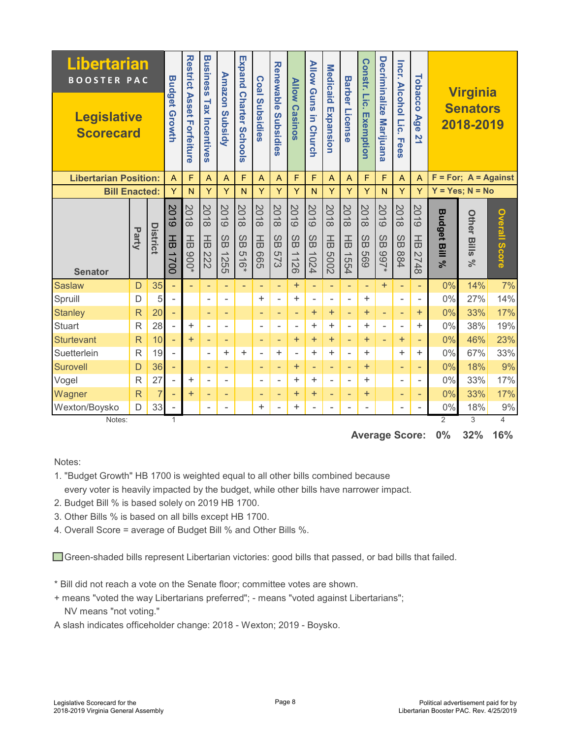| <b>Libertarian</b><br><b>BOOSTER PAC</b><br><b>Legislative</b><br><b>Scorecard</b> |                         |                                                                    | <b>Budget Growth</b>     | <b>Restrict Asset Forteiture</b> | <b>Business</b><br><b>Tax Incentives</b>                                                                                                                              | <b>Annazon</b><br>Subsidy | <b>Expand</b><br><b>Charter Schools</b> | Coal Subsidies        | <b>Renewable</b><br>Subsidies  | <b>Allow Casinos</b>       | <b>Allow Guns</b><br>5<br><b>Church</b> | <b>Medicaid</b><br>Expansion | <b>Barber License</b> | Constr. Lic.<br>Exemption          | <b>Decriminalize</b><br><b>Marijuana</b> | Incr.<br><b>Alcohol Lic.</b><br><b>Fees</b> | Tobacco<br>Age<br>21         |                      | <b>Virginia</b><br><b>Senators</b><br>2018-2019 |                                 |
|------------------------------------------------------------------------------------|-------------------------|--------------------------------------------------------------------|--------------------------|----------------------------------|-----------------------------------------------------------------------------------------------------------------------------------------------------------------------|---------------------------|-----------------------------------------|-----------------------|--------------------------------|----------------------------|-----------------------------------------|------------------------------|-----------------------|------------------------------------|------------------------------------------|---------------------------------------------|------------------------------|----------------------|-------------------------------------------------|---------------------------------|
| <b>Libertarian Position:</b>                                                       |                         |                                                                    | $\overline{A}$           | F                                | F<br>F<br>F<br>F<br>F<br>$\overline{A}$<br>$\overline{A}$<br>$\overline{A}$<br>$\overline{A}$<br>$\overline{A}$<br>$\overline{A}$<br>$\overline{A}$<br>$\overline{A}$ |                           |                                         |                       |                                |                            |                                         |                              | F                     | $= For; A = Against$               |                                          |                                             |                              |                      |                                                 |                                 |
| <b>Bill Enacted:</b>                                                               |                         | Y<br>Ÿ<br>Ÿ<br>Y<br>Y<br>Y<br>Y<br>Y<br>N<br>N<br>N<br>Y<br>Y<br>N |                          |                                  |                                                                                                                                                                       |                           |                                         |                       | Y                              |                            | $Y = Yes; N = No$                       |                              |                       |                                    |                                          |                                             |                              |                      |                                                 |                                 |
|                                                                                    | Party                   | District                                                           | 2019<br>玉                | 8018<br>$\frac{1}{10}$           | 2018<br>$\frac{1}{6}$                                                                                                                                                 | <b>2019</b><br>$\omega$   | 2018<br>$\omega$                        | 2018<br>$\frac{1}{6}$ | 2018<br>$\omega$               | 6107<br>$\omega$           | 5019<br>SB                              | 2018<br>$\frac{1}{6}$        | 8018<br>$\frac{1}{6}$ | 2018<br>$\omega$                   | 5019<br>$\omega$                         | 2018<br>$\omega$                            | <b>2019</b><br>$\frac{1}{6}$ | <b>Budget Bill</b>   | <b>Other</b>                                    | <b>Overall Score</b>            |
| <b>Senator</b>                                                                     |                         |                                                                    | 1700                     | $000*$                           | 222                                                                                                                                                                   | Φ<br>1255                 | $\bar{\mathbf{\sigma}}$<br>516*         | 999                   | $\tilde{\varpi}$<br><b>573</b> | $\bar{\mathbf{u}}$<br>1126 | 1024                                    | 2009                         | 1554                  | $\breve{\overline{\omega}}$<br>699 | $\bar{\mathbf{u}}$<br>$*266$             | $\breve{\varpi}$<br>884                     | 2748                         | వ్                   | Bills<br>$\aleph$                               |                                 |
| <b>Saslaw</b>                                                                      | D                       | 35                                                                 | $\equiv$                 | $\equiv$                         | ٠                                                                                                                                                                     | $\overline{\phantom{a}}$  | ٠                                       | ٠                     | ٠                              | $\ddot{}$                  | $\blacksquare$                          | $\overline{\phantom{a}}$     | ÷                     | $\overline{\phantom{a}}$           | $\ddot{}$                                | $\overline{\phantom{a}}$                    | $\overline{\phantom{a}}$     | 0%                   | 14%                                             | 7%                              |
| Spruill                                                                            | D                       | 5                                                                  | $\blacksquare$           |                                  | $\overline{\phantom{a}}$                                                                                                                                              | ۰                         |                                         | +                     | $\bar{a}$                      | +                          | $\overline{a}$                          | ۰                            | $\overline{a}$        | $\ddot{}$                          |                                          | $\overline{\phantom{0}}$                    | ۰                            | $0\%$                | 27%                                             | 14%                             |
| <b>Stanley</b>                                                                     | $\mathsf{R}$            | 20                                                                 | $\equiv$                 |                                  | ٠                                                                                                                                                                     | ٠                         |                                         | ٠                     | ٠                              | $\overline{\phantom{a}}$   | $\ddot{}$                               | $\ddot{}$                    | ÷                     | $\ddot{}$                          | $\overline{\phantom{a}}$                 | $\overline{\phantom{a}}$                    | $\ddot{}$                    | 0%                   | 33%                                             | 17%                             |
| <b>Stuart</b>                                                                      | $\mathsf{R}$            | 28                                                                 | $\overline{a}$           | +                                | $\overline{\phantom{a}}$                                                                                                                                              | $\blacksquare$            |                                         | ٠                     | $\overline{\phantom{a}}$       | $\blacksquare$             | ÷                                       | ÷.                           | ۰                     | $\ddot{}$                          | $\overline{\phantom{a}}$                 | $\qquad \qquad \blacksquare$                | +                            | 0%                   | 38%                                             | 19%                             |
| <b>Sturtevant</b>                                                                  | $\overline{\mathsf{R}}$ | 10                                                                 | $\overline{\phantom{a}}$ | $\ddot{}$                        | ٠                                                                                                                                                                     | ٠                         |                                         | ٠                     | ٠                              | $\ddot{}$                  | $+$                                     | $+$                          | ٠                     | $\ddot{}$                          | $\overline{\phantom{a}}$                 | $\ddot{}$                                   | ٠                            | 0%                   | 46%                                             | 23%                             |
| Suetterlein                                                                        | R                       | 19                                                                 | $\overline{a}$           |                                  | $\overline{\phantom{a}}$                                                                                                                                              | ÷                         | ÷                                       | $\overline{a}$        | ÷                              | ٠                          | ÷.                                      | $\ddot{}$                    | $\overline{a}$        | +                                  |                                          | ÷.                                          | ÷                            | 0%                   | 67%                                             | 33%                             |
| Surovell                                                                           | D                       | 36                                                                 | $\qquad \qquad -$        |                                  | ٠                                                                                                                                                                     | ۰                         |                                         | ٠                     | ٠                              | $\ddot{}$                  | ÷                                       | ÷                            | ٠                     | $\ddot{}$                          |                                          | ٠                                           |                              | 0%                   | 18%                                             | 9%                              |
| Vogel                                                                              | $\mathsf{R}$            | 27                                                                 | $\overline{a}$           | +                                | $\overline{\phantom{a}}$                                                                                                                                              | ٠                         |                                         | ۰                     | $\overline{\phantom{a}}$       | $\ddot{}$                  | ÷                                       | ÷,                           | ۰                     | +                                  |                                          | $\overline{\phantom{a}}$                    | ٠                            | 0%                   | 33%                                             | 17%                             |
| Wagner                                                                             | $\overline{R}$          | $\overline{7}$                                                     | ٠                        | $\ddot{}$                        | ٠                                                                                                                                                                     | ۰                         |                                         | ٠                     | ٠                              | $\ddot{}$                  | $\ddot{}$                               | ۰                            | ٠                     | $\ddot{}$                          |                                          | ٠                                           |                              | 0%                   | 33%                                             | 17%                             |
| Wexton/Boysko                                                                      | D                       | 33                                                                 | $\overline{\phantom{a}}$ |                                  | $\overline{\phantom{a}}$                                                                                                                                              | ۰                         |                                         | ÷                     | $\overline{a}$                 | $\ddot{}$                  | L,                                      | $\blacksquare$               | ×,                    | $\overline{\phantom{a}}$           |                                          | $\qquad \qquad \blacksquare$                | -                            | $0\%$                | 18%                                             | 9%                              |
| Notes:                                                                             |                         |                                                                    |                          |                                  |                                                                                                                                                                       |                           |                                         |                       |                                |                            |                                         |                              |                       |                                    |                                          | <b>Average Score:</b>                       |                              | $\overline{2}$<br>0% | 3<br>32%                                        | $\overline{\mathcal{A}}$<br>16% |

Notes:

1. "Budget Growth" HB 1700 is weighted equal to all other bills combined because

- every voter is heavily impacted by the budget, while other bills have narrower impact.
- 2. Budget Bill % is based solely on 2019 HB 1700.
- 3. Other Bills % is based on all bills except HB 1700.
- 4. Overall Score = average of Budget Bill % and Other Bills %.

Green-shaded bills represent Libertarian victories: good bills that passed, or bad bills that failed.

- \* Bill did not reach a vote on the Senate floor; committee votes are shown.
- + means "voted the way Libertarians preferred"; means "voted against Libertarians"; NV means "not voting."

A slash indicates officeholder change: 2018 - Wexton; 2019 - Boysko.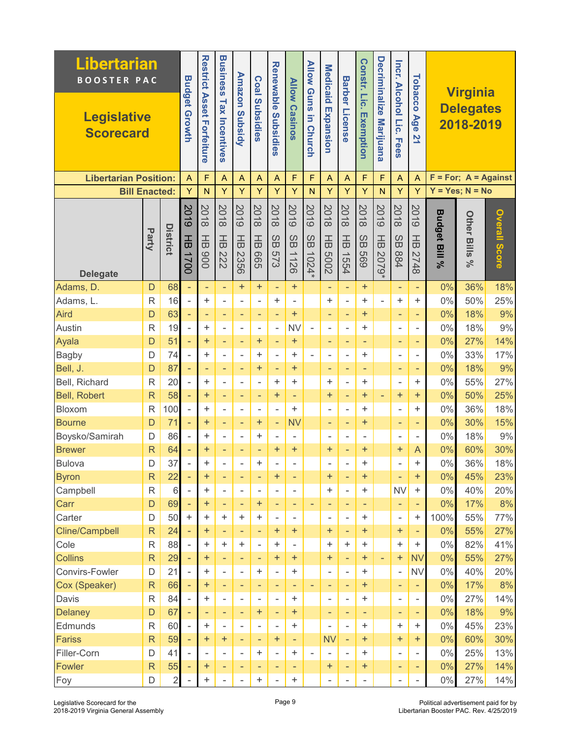| <b>Libertarian</b><br><b>BOOSTER PAC</b> |                         |                      |                          | <b>Business</b>                  |                          |                               | <b>Renewable</b>             | <b>Allow</b>                          | <b>Allow Guns</b>        |                          |                               | Constr. Lic.                  | Decriminalize            |                               |                              |                                  |                          |                                                  |                      |
|------------------------------------------|-------------------------|----------------------|--------------------------|----------------------------------|--------------------------|-------------------------------|------------------------------|---------------------------------------|--------------------------|--------------------------|-------------------------------|-------------------------------|--------------------------|-------------------------------|------------------------------|----------------------------------|--------------------------|--------------------------------------------------|----------------------|
| <b>Legislative</b><br><b>Scorecard</b>   |                         |                      | <b>Budget Growth</b>     | <b>Restrict Asset Forfeiture</b> | <b>Tax Incentives</b>    | <b>Amazon Subsidy</b>         | <b>Coal Subsidies</b>        | <b>Subsidies</b>                      | <b>Casinos</b>           | 5<br><b>Church</b>       | <b>Medicaid Expansion</b>     | <b>Barber License</b>         | Exemption                | <b>Marijuana</b>              | Incr. Alcohol Lic.<br>. Fees | Tobacco<br>Age<br>$\overline{2}$ |                          | <b>Virginia</b><br><b>Delegates</b><br>2018-2019 |                      |
| <b>Libertarian Position:</b>             |                         |                      | A                        | F                                | $\overline{A}$           | A                             | $\overline{A}$               | A                                     | F                        | F                        | $\overline{A}$                | A                             | F                        | F                             | A                            | $\overline{A}$                   |                          | $F = For; A = Against$                           |                      |
| <b>Bill Enacted:</b>                     |                         |                      | Ÿ                        | $\mathsf{N}$                     | Y                        | Ÿ                             | Y                            | Ÿ                                     | Ÿ                        | $\mathsf{N}$             | Y                             | Y                             | Y                        | N                             | Ÿ                            | Y                                |                          | $Y = Yes; N = No$                                |                      |
| <b>Delegate</b>                          | Party                   | <b>District</b>      | 5019<br>곰<br>1700        | 2018<br>곰<br>006                 | 2018<br>곰<br>222         | 8019<br>$\frac{1}{6}$<br>2356 | 2018<br>$\frac{1}{6}$<br>999 | 2018<br>SB<br><b>S73</b>              | 8019<br>SB<br>1126       | 5019<br>SB<br>1024*      | 2018<br>$\frac{1}{6}$<br>2009 | 2018<br>$\frac{1}{6}$<br>1554 | 2018<br>SB<br>699        | 8019<br>$\frac{1}{6}$<br>6202 | 2018<br>SB<br>884            | <b>2019</b><br>곰<br>2748         | <b>Budget Bill</b><br>వ్ | <b>Other Bills</b><br>್ನೇ                        | <b>Overall Score</b> |
| Adams, D.                                | D                       | 68                   |                          | ÷                                | ÷,                       | $\ddot{}$                     | $\pm$                        | $\overline{\phantom{a}}$              | ÷                        |                          | ÷                             | $\overline{\phantom{a}}$      | ÷                        |                               | ÷                            | ÷,                               | 0%                       | 36%                                              | 18%                  |
| Adams, L.                                | R                       | 16                   | $\overline{a}$           | $\ddot{}$                        | $\overline{a}$           | $\overline{\phantom{a}}$      | L.                           | ÷                                     | $\blacksquare$           |                          | $\ddot{}$                     | L,                            | +                        | $\mathbf{r}$                  | $\ddot{}$                    | ÷                                | $0\%$                    | 50%                                              | 25%                  |
| Aird                                     | D                       | 63                   |                          | ٠                                | ٠                        | ٠                             | ٠                            | $\overline{\phantom{a}}$              | $\ddot{}$                |                          | ٠                             | $\qquad \qquad -$             | $\ddot{}$                |                               | ٠                            | ٠                                | 0%                       | 18%                                              | 9%                   |
| Austin                                   | R                       | 19                   |                          | +                                |                          | $\overline{\phantom{a}}$      | -                            | $\qquad \qquad \blacksquare$          | <b>NV</b>                | $\overline{\phantom{0}}$ | ٠                             | -                             | ÷                        |                               | $\overline{a}$               |                                  | $0\%$                    | 18%                                              | 9%                   |
| Ayala                                    | D                       | 51                   | ÷.                       | $\ddot{}$                        | $\blacksquare$           | $\overline{\phantom{a}}$      | $\ddot{}$                    | $\overline{\phantom{a}}$              | $\ddot{}$                |                          | ٠                             | $\overline{\phantom{a}}$      | $\overline{\phantom{a}}$ |                               | $\overline{\phantom{a}}$     | ٠                                | 0%                       | 27%                                              | 14%                  |
| <b>Bagby</b>                             | D                       | 74                   |                          | ÷                                | $\overline{a}$           | $\overline{\phantom{a}}$      | ÷                            | $\frac{1}{2}$                         | $\ddot{}$                | ÷.                       | $\overline{a}$                | L,                            | ÷                        |                               | $\overline{a}$               | ÷                                | $0\%$                    | 33%                                              | 17%                  |
| Bell, J.                                 | D                       | 87                   | $\equiv$                 | ٠                                | ٠                        | $\qquad \qquad -$             | $\ddot{}$                    | $\qquad \qquad -$                     | $\ddot{}$                |                          | ٠                             | ÷                             | $\qquad \qquad -$        |                               | ٠                            | ٠                                | 0%                       | 18%                                              | 9%                   |
| Bell, Richard                            | $\mathsf{R}$            | 20                   |                          | $\ddot{}$                        | ÷                        | $\blacksquare$                | ä,                           | +                                     | ÷                        |                          | $\ddot{}$                     | $\bar{a}$                     | ÷                        |                               | $\overline{\phantom{a}}$     | $\ddot{}$                        | $0\%$                    | 55%                                              | 27%                  |
| <b>Bell, Robert</b>                      | $\overline{\mathsf{R}}$ | 58                   |                          | $\ddot{}$                        | ٠                        | $\qquad \qquad -$             | ÷                            | $\ddot{}$                             | $\overline{\phantom{a}}$ |                          | $\ddot{}$                     | ÷                             | $\ddot{}$                | $\overline{\phantom{a}}$      | $\ddot{}$                    | $\ddot{}$                        | 0%                       | 50%                                              | 25%                  |
| Bloxom                                   | R                       | 100                  |                          | ÷                                | ۰                        | $\qquad \qquad \blacksquare$  | -                            | $\overline{\phantom{a}}$              | ÷                        |                          | ٠                             | $\overline{a}$                | ÷                        |                               | ÷,                           | $\ddot{}$                        | $0\%$                    | 36%                                              | 18%                  |
| <b>Bourne</b>                            | D                       | 71                   | $\equiv$                 | $\ddot{}$                        | ٠                        | ÷                             | $\pm$                        | ÷                                     | <b>NV</b>                |                          | ٠                             | $\overline{\phantom{a}}$      | $\boldsymbol{+}$         |                               | ٠                            | ۰                                | 0%                       | 30%                                              | 15%                  |
| Boysko/Samirah                           | D                       | 86                   | $\overline{a}$           | $\ddot{}$                        | Ĭ.                       | $\overline{\phantom{a}}$      | ÷                            | $\bar{a}$                             |                          |                          | $\overline{a}$                | $\overline{a}$                | $\overline{\phantom{a}}$ |                               | $\overline{a}$               | Ξ.                               | $0\%$                    | 18%                                              | 9%                   |
| <b>Brewer</b>                            | $\mathsf{R}$            | 64                   |                          | $\ddot{}$                        | ٠                        | $\qquad \qquad -$             | ÷                            | +                                     | $\ddot{}$                |                          | $\ddot{}$                     | ÷                             | $\ddot{}$                |                               | $\pm$                        | A                                | 0%                       | 60%                                              | 30%                  |
| <b>Bulova</b>                            | D                       | 37                   |                          | +                                |                          | $\overline{a}$                | +                            | Ē,                                    |                          |                          | ٠                             |                               | $\ddot{}$                |                               | ÷,                           | +                                | $0\%$                    | 36%                                              | 18%                  |
| <b>Byron</b>                             | $\mathsf{R}$            | 22                   |                          | $\boldsymbol{+}$                 | ٠                        | ٠                             | ٠                            | +                                     | ٠                        |                          | $+$                           | ٠                             | $\ddot{}$                |                               | ۰                            | $\ddot{}$                        | $0\%$                    | 45%                                              | 23%                  |
| Campbell                                 | R                       | $6\phantom{1}$<br>69 |                          | $\ddot{}$                        | $\overline{a}$           | $\qquad \qquad \blacksquare$  | -                            | $\overline{\phantom{a}}$              | $\blacksquare$           |                          | $\ddot{}$                     | ÷,                            | +                        |                               | <b>NV</b>                    | $\pm$                            | $0\%$                    | 40%                                              | 20%                  |
| Carr<br>Carter                           | D<br>D                  | 50                   | $\ddot{}$                | ÷<br>+                           | ٠<br>$\ddot{}$           | ٠<br>$\ddag$                  | $\pm$<br>$\ddot{}$           | ٠                                     | ٠<br>$\blacksquare$      | ۰                        | ٠                             | ٠<br>$\overline{\phantom{a}}$ | ٠<br>+                   |                               | ٠<br>$\overline{a}$          | ۰<br>$\pm$                       | 0%<br>100%               | 17%<br>55%                                       | 8%<br>77%            |
| <b>Cline/Campbell</b>                    | $\mathsf{R}$            | 24                   |                          | $\ddot{}$                        |                          | $\overline{\phantom{a}}$      | ٠                            | $\overline{\phantom{a}}$<br>$\ddot{}$ | $+$                      |                          | ۰<br>$\ddot{}$                | $\overline{\phantom{a}}$      | ÷                        |                               | $\pm$                        | ÷                                | 0%                       | 55%                                              | 27%                  |
| Cole                                     | R                       | 88                   |                          | $\ddot{}$                        | $\ddot{}$                | $\ddot{}$                     | $\sim$                       | +                                     | $\mathbf{r}$             |                          | $\ddot{}$                     | ÷                             | $\ddot{}$                |                               | $\pm$                        | $\ddot{}$                        | $0\%$                    | 82%                                              | 41%                  |
| <b>Collins</b>                           | $\overline{\mathsf{R}}$ | 29                   |                          | ÷                                | $\equiv$                 | $\overline{\phantom{a}}$      | ٠                            | $\ddot{}$                             | $+$                      |                          | $+$                           | $\overline{\phantom{a}}$      | ÷                        | $\equiv$                      | $+$                          | <b>NV</b>                        | 0%                       | 55%                                              | 27%                  |
| Convirs-Fowler                           | D                       | 21                   |                          | $\ddot{}$                        | ÷,                       | $\overline{\phantom{a}}$      | ÷                            | $\qquad \qquad \blacksquare$          | $\pm$                    |                          | ٠                             | $\overline{\phantom{a}}$      | ÷                        |                               | $\overline{\phantom{0}}$     | <b>NV</b>                        | 0%                       | 40%                                              | 20%                  |
| Cox (Speaker)                            | $\mathsf{R}$            | 66                   | ÷.                       | ÷                                | ٠                        | ÷                             | ٠                            | ÷                                     | $\overline{\phantom{a}}$ | -                        | ٠                             | ÷                             | $\ddot{}$                |                               | ٠                            | ÷                                | 0%                       | 17%                                              | 8%                   |
| Davis                                    | $\mathsf{R}$            | 84                   |                          | $\ddot{}$                        | $\overline{\phantom{a}}$ | $\blacksquare$                | $\overline{\phantom{0}}$     | $\overline{\phantom{a}}$              | $\ddot{}$                |                          | $\blacksquare$                | $\overline{\phantom{a}}$      | $\ddot{}$                |                               | $\overline{\phantom{a}}$     | -                                | $0\%$                    | 27%                                              | 14%                  |
| <b>Delaney</b>                           | D                       | 67                   |                          | $\overline{\phantom{a}}$         | ٠                        | ÷                             | $\ddot{}$                    | Ξ                                     | ÷                        |                          | ٠                             | $\overline{\phantom{a}}$      | ٠                        |                               | ٠                            | ٠                                | 0%                       | 18%                                              | 9%                   |
| Edmunds                                  | R                       | 60                   |                          | $\ddot{}$                        |                          | $\overline{\phantom{a}}$      | ÷.                           | $\overline{\phantom{a}}$              | $\pm$                    |                          | $\overline{\phantom{a}}$      | $\overline{\phantom{a}}$      | +                        |                               | $\ddot{}$                    | $\ddot{}$                        | $0\%$                    | 45%                                              | 23%                  |
| <b>Fariss</b>                            | $\mathsf{R}$            | 59                   | $\overline{\phantom{a}}$ | ÷                                | ÷                        | $\overline{\phantom{a}}$      | ÷                            | +                                     | $\equiv$                 |                          | <b>NV</b>                     | $\overline{\phantom{a}}$      | ÷                        |                               | $+$                          | $\ddot{}$                        | 0%                       | 60%                                              | 30%                  |
| Filler-Corn                              | D                       | 41                   |                          | $\overline{a}$                   | $\overline{a}$           | $\overline{a}$                | ÷                            | $\qquad \qquad \blacksquare$          | $\pm$                    |                          |                               | -                             | ÷                        |                               | $\overline{\phantom{a}}$     | -                                | $0\%$                    | 25%                                              | 13%                  |
| Fowler                                   | $\mathsf{R}$            | 55                   |                          | ÷                                | ٠                        | ٠                             | ٠                            | ٠                                     | ٠                        |                          | $\ddot{}$                     | ÷                             | $\ddot{}$                |                               | ٠                            | ٠                                | 0%                       | 27%                                              | 14%                  |
| Foy                                      | D                       | $\overline{2}$       |                          | $+$                              | $\overline{a}$           | ä,                            | ÷                            | $\overline{\phantom{a}}$              | $+$                      |                          | $\overline{\phantom{a}}$      | L,                            | $\blacksquare$           |                               | $\bar{a}$                    | ÷.                               | $0\%$                    | 27%                                              | 14%                  |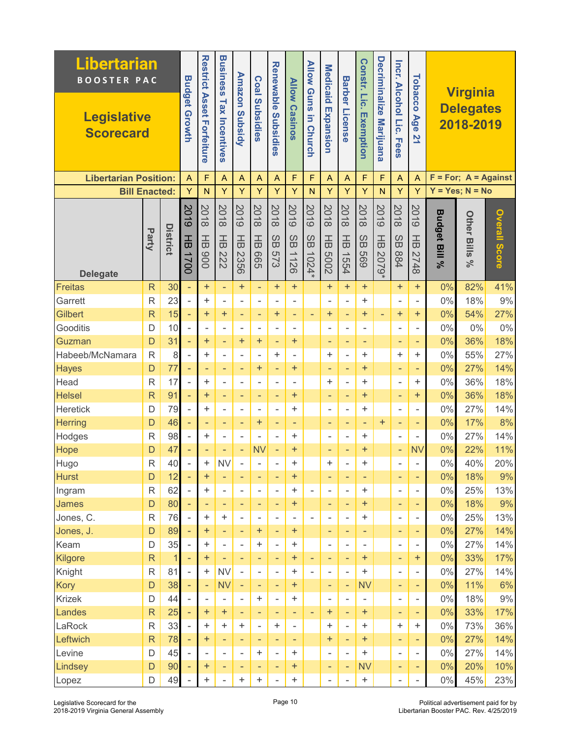| <b>Libertarian</b><br><b>BOOSTER PAC</b> |                |                 |                          | <b>Restrict</b>            | <b>Business</b>              |                                      |                                     | <b>Renewable</b>         | <b>Allow</b>                                               | <b>Allow Guns</b>   |                          |                                | Constr. Lic.                 | <b>Decriminalize</b>          |                              |                                  |                          |                                                  |               |
|------------------------------------------|----------------|-----------------|--------------------------|----------------------------|------------------------------|--------------------------------------|-------------------------------------|--------------------------|------------------------------------------------------------|---------------------|--------------------------|--------------------------------|------------------------------|-------------------------------|------------------------------|----------------------------------|--------------------------|--------------------------------------------------|---------------|
| <b>Legislative</b><br><b>Scorecard</b>   |                |                 | <b>Budget Growth</b>     | <b>Asset</b><br>Forfeiture | <b>Tax Incentives</b>        | <b>Amazon Subsidy</b>                | <b>Coal Subsidies</b>               | Subsidies                | <b>Casinos</b>                                             | 5<br><b>Church</b>  | Medicaid Expansion       | <b>Barber License</b>          | Exemption                    | <b>Marijuana</b>              | Incr. Alcohol Lic.<br>. Fees | Tobacco<br>Age<br>$\overline{2}$ |                          | <b>Virginia</b><br><b>Delegates</b><br>2018-2019 |               |
| <b>Libertarian Position:</b>             |                |                 | A                        | F                          | A                            | A                                    | A                                   | $\overline{A}$           | F                                                          | F                   | $\overline{A}$           | Α                              | F                            | F                             | A                            | $\overline{A}$                   |                          | $F = For; A = Against$                           |               |
| <b>Bill Enacted:</b>                     |                |                 | Ÿ                        | $\mathsf{N}$               | Y                            | Ÿ                                    | Ÿ                                   | Y                        | Ÿ                                                          | N                   | Y                        | Y                              | Y                            | N                             | Ÿ                            | Y                                |                          | $Y = Yes; N = No$                                |               |
| <b>Delegate</b>                          | Party          | <b>District</b> | 8019<br>곰<br>1700        | 2018<br>곰<br>006           | 2018<br>$\frac{1}{6}$<br>222 | <b>2019</b><br>$\frac{1}{6}$<br>2356 | 2018<br>$\frac{1}{6}$<br><b>GOS</b> | 2018<br>SB<br><b>573</b> | 2019<br>$\mathcal{O}$<br>$\tilde{\mathbf{\omega}}$<br>1126 | 8019<br>SB<br>1024* | 2018<br>곰<br>2009        | 2018<br>$\frac{1}{10}$<br>1554 | 2018<br>SB<br>699            | 5019<br>$\frac{1}{6}$<br>2079 | 2018<br>SB<br>984            | 8019<br>곰<br>2748                | <b>Budget Bill</b><br>వ్ | <b>Other Bills</b><br>್ನೇ                        | Overall Score |
| <b>Freitas</b>                           | $\mathsf{R}$   | 30              |                          | $\ddot{}$                  | $\overline{\phantom{a}}$     | $\ddot{}$                            | ÷,                                  | $\pmb{+}$                | $\ddot{}$                                                  |                     | $\ddot{}$                | $+$                            | $\ddot{}$                    |                               | $\ddot{}$                    | $\ddot{}$                        | 0%                       | 82%                                              | 41%           |
| Garrett                                  | $\mathsf{R}$   | 23              | $\overline{a}$           | ÷                          | $\blacksquare$               | $\overline{\phantom{a}}$             | $\overline{a}$                      | $\blacksquare$           | $\overline{a}$                                             |                     | $\blacksquare$           | $\overline{\phantom{a}}$       | $\ddot{}$                    |                               | $\overline{a}$               | Ξ.                               | $0\%$                    | 18%                                              | 9%            |
| <b>Gilbert</b>                           | $\overline{R}$ | 15              | ÷,                       | $+$                        | $\ddot{}$                    | ٠                                    | ٠                                   | $\boldsymbol{+}$         | ٠                                                          | ۳                   | $\ddot{}$                | ٠                              | $\ddot{}$                    | $\overline{\phantom{a}}$      | $\ddot{}$                    | $\ddot{}$                        | 0%                       | 54%                                              | 27%           |
| Gooditis                                 | D              | 10              |                          | $\blacksquare$             | ٠                            | $\overline{\phantom{a}}$             | $\overline{a}$                      | -                        | -                                                          |                     | ٠                        | -                              | $\qquad \qquad \blacksquare$ |                               | $\overline{a}$               | ÷                                | $0\%$                    | 0%                                               | 0%            |
| Guzman                                   | D              | 31              | ÷,                       | $\ddot{}$                  | $\overline{\phantom{a}}$     | $\ddot{}$                            | $\ddot{}$                           | ٠                        | $\ddot{}$                                                  |                     | ٠                        | ٠                              | $\equiv$                     |                               | ٠                            | ۰                                | 0%                       | 36%                                              | 18%           |
| Habeeb/McNamara                          | $\overline{R}$ | 8               |                          | ÷                          | $\overline{a}$               | $\overline{\phantom{a}}$             |                                     | $\ddot{}$                | $\overline{a}$                                             |                     | $\ddot{}$                | ÷,                             | +                            |                               | +                            | $\ddot{}$                        | $0\%$                    | 55%                                              | 27%           |
| <b>Hayes</b>                             | D              | 77              | ÷,                       | ۰                          | ٠                            | $\qquad \qquad -$                    | $\ddot{}$                           | ٠                        | $\ddot{}$                                                  |                     | ٠                        | ÷                              | $\ddot{}$                    |                               | ٠                            | ٠                                | 0%                       | 27%                                              | 14%           |
| Head                                     | $\mathsf{R}$   | 17              | L,                       | ÷                          | ÷.                           | $\bar{a}$                            | L.                                  | $\overline{\phantom{a}}$ | L.                                                         |                     | $\ddot{}$                | $\overline{\phantom{a}}$       | $\ddot{}$                    |                               | $\overline{a}$               | $\ddot{}$                        | $0\%$                    | 36%                                              | 18%           |
| <b>Helsel</b>                            | $\overline{R}$ | 91              | ÷,                       | $\ddot{}$                  | ٠                            | $\qquad \qquad -$                    | ÷                                   | ٠                        | $\ddot{}$                                                  |                     | ٠                        | $\qquad \qquad -$              | $\ddot{}$                    |                               | ÷                            | $\ddot{}$                        | 0%                       | 36%                                              | 18%           |
| Heretick                                 | D              | 79              | $\overline{\phantom{0}}$ | ÷                          | $\overline{\phantom{a}}$     | $\qquad \qquad \blacksquare$         | $\overline{a}$                      | $\overline{\phantom{a}}$ | $\ddot{}$                                                  |                     | $\overline{\phantom{a}}$ | -                              | +                            |                               | $\overline{a}$               | -                                | $0\%$                    | 27%                                              | 14%           |
| <b>Herring</b>                           | D              | 46              | ÷,                       | ۰                          | ٠                            | $\overline{\phantom{a}}$             | $\pm$                               | ٠                        | ÷                                                          |                     | ٠                        | $\overline{\phantom{a}}$       | -                            | $\ddot{}$                     | ÷                            | ۰                                | 0%                       | 17%                                              | 8%            |
| Hodges                                   | $\mathsf{R}$   | 98              | L,                       | ÷                          | $\sim$                       | $\overline{\phantom{a}}$             | ä,                                  | L,                       | +                                                          |                     | $\overline{\phantom{a}}$ | ÷,                             | +                            |                               | ä,                           | Ξ.                               | $0\%$                    | 27%                                              | 14%           |
| Hope                                     | D              | 47              | ٠                        | ۰                          | ٠                            | $\qquad \qquad -$                    | <b>NV</b>                           | $\qquad \qquad -$        | $\ddot{}$                                                  |                     | ٠                        | ٠                              | $\ddot{}$                    |                               | ÷                            | <b>NV</b>                        | 0%                       | 22%                                              | 11%           |
| Hugo                                     | R              | 40              |                          | +                          | <b>NV</b>                    | $\overline{\phantom{a}}$             |                                     | ۰                        | +                                                          |                     | $\ddot{}$                | ÷                              | $\ddot{}$                    |                               | ۰                            |                                  | $0\%$                    | 40%                                              | 20%           |
| <b>Hurst</b>                             | D              | 12              |                          | $\pm$                      | ٠                            | ٠                                    | ۰                                   | ٠                        | +                                                          |                     | ٠                        | ٠                              | ٠                            |                               | ۰                            | ۰                                | $0\%$                    | 18%                                              | 9%            |
| Ingram                                   | $\mathsf R$    | 62              | $\overline{a}$           | $\color{red}{+}$           | $\overline{\phantom{a}}$     | $\overline{\phantom{a}}$             | -                                   | $\overline{\phantom{a}}$ | +                                                          | Ξ.                  | $\overline{\phantom{a}}$ | $\overline{\phantom{a}}$       | +                            |                               | $\overline{\phantom{0}}$     | $\overline{\phantom{0}}$         | $0\%$                    | 25%                                              | 13%           |
| <b>James</b>                             | D              | 80              |                          | ۰                          | ٠                            | ٠                                    | ٠                                   | ٠                        | +                                                          |                     | ٠                        | ٠                              | ÷                            |                               | ٠                            | ۰                                | $0\%$                    | 18%                                              | 9%            |
| Jones, C.                                | $\mathsf{R}$   | 76              |                          | ÷                          | $\ddot{}$                    | $\overline{\phantom{a}}$             | $\overline{\phantom{0}}$            | $\overline{\phantom{a}}$ | Ξ.                                                         | Ξ.                  | $\overline{\phantom{a}}$ | $\overline{a}$                 | $\ddot{}$                    |                               | $\overline{\phantom{a}}$     | $\overline{\phantom{0}}$         | $0\%$                    | 25%                                              | 13%           |
| Jones, J.                                | D              | 89              | $\equiv$                 | $+$                        | $\overline{\phantom{a}}$     | $\overline{\phantom{a}}$             | $\pm$                               | ÷,                       | ÷                                                          |                     | $\overline{\phantom{a}}$ | $\qquad \qquad -$              | $\qquad \qquad -$            |                               | ٠                            | ٠                                | $0\%$                    | 27%                                              | 14%           |
| Keam                                     | D              | 35              | L,                       | +                          | $\bar{a}$                    | $\overline{\phantom{a}}$             | +                                   | $\frac{1}{2}$            | $\ddot{}$                                                  |                     | $\bar{a}$                | $\sim$                         | $\overline{\phantom{a}}$     |                               | $\overline{a}$               | ÷                                | 0%                       | 27%                                              | 14%           |
| Kilgore                                  | $\mathsf{R}$   | $\mathbf 1$     |                          | $\ddot{}$                  | $\equiv$                     | $\overline{\phantom{a}}$             | ä,                                  | $\qquad \qquad -$        | ÷                                                          | ÷,                  | $\overline{\phantom{a}}$ | $\overline{\phantom{a}}$       | ÷                            |                               | ÷,                           | $\ddot{}$                        | 0%                       | 33%                                              | 17%           |
| Knight                                   | $\mathsf R$    | 81              |                          | $\ddot{}$                  | <b>NV</b>                    | $\bar{a}$                            | $\overline{\phantom{0}}$            | $\overline{\phantom{a}}$ | +                                                          |                     | $\overline{\phantom{a}}$ | $\overline{\phantom{a}}$       | +                            |                               | $\overline{a}$               | -                                | $0\%$                    | 27%                                              | 14%           |
| <b>Kory</b>                              | D              | 38              | $\equiv$                 | ÷,                         | <b>NV</b>                    | $\overline{\phantom{a}}$             | $\overline{\phantom{a}}$            | ÷                        | ÷                                                          |                     | ٠                        | ÷                              | <b>NV</b>                    |                               | $\qquad \qquad -$            | ٠                                | $0\%$                    | 11%                                              | 6%            |
| <b>Krizek</b>                            | D              | 44              |                          |                            |                              | $\sim$                               | +                                   | $\overline{a}$           | $\ddot{}$                                                  |                     | $\blacksquare$           | $\bar{a}$                      |                              |                               | $\overline{\phantom{a}}$     | Ξ.                               | $0\%$                    | 18%                                              | 9%            |
| Landes                                   | $\mathsf{R}$   | 25              |                          | $+$                        | $\ddot{}$                    | $\overline{\phantom{a}}$             | $\overline{\phantom{a}}$            | $\overline{\phantom{a}}$ | ÷                                                          | ÷                   | $+$                      | ÷                              | ÷                            |                               | $\qquad \qquad -$            | ÷                                | $0\%$                    | 33%                                              | 17%           |
| LaRock                                   | $\mathsf R$    | 33              | $\overline{a}$           | $\ddot{}$                  | $\ddot{}$                    | +                                    | L,                                  | +                        | ÷,                                                         |                     | $\color{red}{+}$         | ÷,                             | +                            |                               | $\ddot{}$                    | $\ddot{}$                        | $0\%$                    | 73%                                              | 36%           |
| Leftwich                                 | $\mathsf{R}$   | 78              | $\equiv$                 | ÷                          | $\overline{\phantom{a}}$     | $\overline{\phantom{a}}$             | $\qquad \qquad -$                   | $\overline{\phantom{a}}$ | $\overline{\phantom{a}}$                                   |                     | $\ddot{}$                | $\overline{\phantom{a}}$       | ÷                            |                               | ٠                            | ٠                                | $0\%$                    | 27%                                              | 14%           |
| Levine                                   | D              | 45              | L,                       | ÷                          | $\blacksquare$               | $\overline{\phantom{a}}$             | $\ddot{}$                           | $\bar{a}$                | $\ddot{}$                                                  |                     | $\overline{\phantom{a}}$ | $\bar{a}$                      | +                            |                               | $\overline{\phantom{0}}$     | Ξ.                               | $0\%$                    | 27%                                              | 14%           |
| Lindsey                                  | D              | 90              |                          | $\ddot{}$                  | ٠                            | ٠                                    | ٠                                   | $\overline{\phantom{a}}$ | $+$                                                        |                     | ٠                        | $\qquad \qquad \blacksquare$   | <b>NV</b>                    |                               | ۰                            | ٠                                | 0%                       | 20%                                              | 10%           |
| Lopez                                    | D              | 49              |                          | $\ddot{}$                  | $\overline{a}$               | +                                    | +                                   | $\frac{1}{2}$            | +                                                          |                     | $\overline{\phantom{a}}$ | $\overline{\phantom{0}}$       | $\! + \!\!\!\!$              |                               | $\overline{\phantom{0}}$     | -                                | $0\%$                    | 45%                                              | 23%           |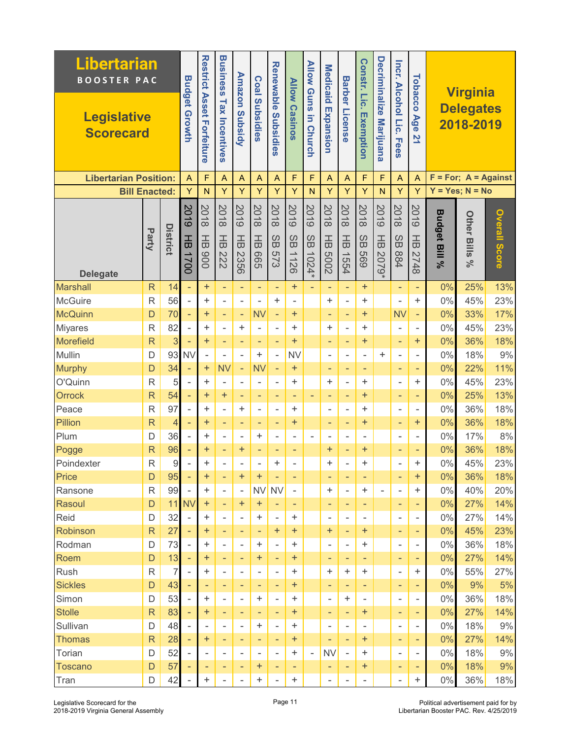| <b>Libertarian</b><br><b>BOOSTER PAC</b> |                         |                 |                          | <b>Restrict</b>            | <b>Business</b>              |                                                      |                                     | <b>Renewable</b>                  | <b>Allow</b>       | <b>Allow Guns</b>        |                          |                                | Constr. Lic.             | <b>Decriminalize</b>     |                              |                                  |                          |                                                  |                      |
|------------------------------------------|-------------------------|-----------------|--------------------------|----------------------------|------------------------------|------------------------------------------------------|-------------------------------------|-----------------------------------|--------------------|--------------------------|--------------------------|--------------------------------|--------------------------|--------------------------|------------------------------|----------------------------------|--------------------------|--------------------------------------------------|----------------------|
| <b>Legislative</b><br><b>Scorecard</b>   |                         |                 | <b>Budget Growth</b>     | <b>Asset</b><br>Forfeiture | <b>Tax Incentives</b>        | <b>Amazon Subsidy</b>                                | <b>Coal Subsidies</b>               | Subsidies                         | <b>Casinos</b>     | 5<br><b>Church</b>       | Medicaid Expansion       | <b>Barber License</b>          | Exemption                | <b>Marijuana</b>         | Incr. Alcohol Lic.<br>. Fees | Tobacco<br>Age<br>$\overline{2}$ |                          | <b>Virginia</b><br><b>Delegates</b><br>2018-2019 |                      |
| <b>Libertarian Position:</b>             |                         |                 | A                        | F                          | A                            | A                                                    | A                                   | $\overline{A}$                    | F                  | F                        | $\overline{A}$           | A                              | F                        | F                        | A                            | $\overline{A}$                   |                          | $F = For; A = Against$                           |                      |
| <b>Bill Enacted:</b>                     |                         |                 | Ÿ                        | $\mathsf{N}$               | Y                            | Ÿ                                                    | Ÿ                                   | Y                                 | Ÿ                  | N                        | Y                        | Y                              | Y                        | N                        | Ÿ                            | Y                                |                          | $Y = Yes; N = No$                                |                      |
| <b>Delegate</b>                          | Party                   | <b>District</b> | 2019<br>곰<br>1700        | 2018<br>곰<br>006           | 2018<br>$\frac{1}{6}$<br>222 | <b>2019</b><br>$\frac{1}{6}$<br>2356                 | 2018<br>$\frac{1}{6}$<br><b>GOS</b> | 2018<br>SB<br><b>573</b>          | 2019<br>SB<br>1126 | 8019<br>SB<br>$1024*$    | 2018<br>곰<br>2009        | 2018<br>$\frac{1}{10}$<br>1554 | 2018<br>SB<br>699        | 5019<br>곰<br>6202        | 2018<br>SB<br>984            | 8019<br>곰<br>2748                | <b>Budget Bill</b><br>వ్ | <b>Other Bills</b><br>ೢೕ                         | <b>Overall Score</b> |
| <b>Marshall</b>                          | $\mathsf{R}$            | 14              |                          | $\ddot{}$                  | $\equiv$                     | $\overline{\phantom{a}}$                             | ÷,                                  | $\qquad \qquad -$                 | $\ddot{}$          |                          | $\overline{\phantom{a}}$ | ÷,                             | ÷                        |                          | ÷,                           | ÷                                | 0%                       | 25%                                              | 13%                  |
| <b>McGuire</b>                           | $\mathsf{R}$            | 56              | $\overline{a}$           | ÷.                         | $\blacksquare$               | $\overline{\phantom{a}}$                             | $\overline{a}$                      | $\ddot{}$                         | $\overline{a}$     |                          | $\ddot{}$                | $\bar{a}$                      | +                        |                          | ä,                           | $\ddot{}$                        | $0\%$                    | 45%                                              | 23%                  |
| <b>McQuinn</b>                           | D                       | 70              | ÷,                       | $\ddot{}$                  | ٠                            | $\overline{\phantom{a}}$                             | <b>NV</b>                           | $\overline{\phantom{a}}$          | $\ddot{}$          |                          | ٠                        | ٠                              | $\ddot{}$                |                          | <b>NV</b>                    |                                  | 0%                       | 33%                                              | 17%                  |
| <b>Miyares</b>                           | $\mathsf{R}$            | 82              |                          | ÷                          | $\overline{\phantom{a}}$     | +                                                    | $\overline{a}$                      | $\overline{\phantom{a}}$          | $\ddot{}$          |                          | $\ddot{}$                | $\overline{a}$                 | $\ddot{}$                |                          | ÷,                           | ÷                                | $0\%$                    | 45%                                              | 23%                  |
| <b>Morefield</b>                         | $\overline{\mathsf{R}}$ | 3               |                          | $\ddot{}$                  | $\overline{\phantom{a}}$     | $\overline{\phantom{a}}$                             | ٠                                   | $\overline{\phantom{a}}$          | $\ddot{}$          |                          | ٠                        | ۰                              | ÷                        |                          | ÷,                           | $\ddot{}$                        | 0%                       | 36%                                              | 18%                  |
| Mullin                                   | D                       | 93              | <b>NV</b>                |                            | $\overline{\phantom{a}}$     | ÷,                                                   | ÷.                                  | $\frac{1}{2}$                     | <b>NV</b>          |                          | $\overline{\phantom{a}}$ | $\overline{a}$                 | $\overline{\phantom{0}}$ | +                        | $\overline{\phantom{0}}$     |                                  | $0\%$                    | 18%                                              | 9%                   |
| <b>Murphy</b>                            | D                       | 34              | ÷,                       | $\ddot{}$                  | <b>NV</b>                    | $\overline{\phantom{a}}$                             | <b>NV</b>                           | $\equiv$                          | $\ddot{}$          |                          | ٠                        | ٠                              | ٠                        |                          | ٠                            | ۰                                | 0%                       | 22%                                              | 11%                  |
| O'Quinn                                  | $\mathsf{R}$            | 5               | $\overline{a}$           | ÷                          | $\sim$                       | $\overline{\phantom{a}}$                             | L.                                  | $\sim$                            | +                  |                          | $\ddot{}$                | $\bar{a}$                      | $\ddot{}$                |                          | $\overline{a}$               | $\ddot{}$                        | $0\%$                    | 45%                                              | 23%                  |
| Orrock                                   | $\overline{\mathsf{R}}$ | 54              | ÷,                       | $\ddot{}$                  | $\ddot{}$                    | $\qquad \qquad -$                                    | $\qquad \qquad -$                   | $\overline{\phantom{a}}$          | ÷                  | ÷                        | ٠                        | $\qquad \qquad -$              | $\ddot{}$                |                          | $\qquad \qquad -$            | ٠                                | 0%                       | 25%                                              | 13%                  |
| Peace                                    | R                       | 97              | $\overline{\phantom{0}}$ | $\ddot{}$                  | ٠                            | +                                                    | $\overline{a}$                      | $\overline{\phantom{a}}$          | +                  |                          | $\overline{\phantom{a}}$ | $\overline{\phantom{a}}$       | +                        |                          | $\overline{a}$               | -                                | $0\%$                    | 36%                                              | 18%                  |
| Pillion                                  | $\overline{\mathsf{R}}$ | 4               | ä,                       | $\ddot{}$                  | ٠                            | ٠                                                    | ٠                                   | ٠                                 | $\ddot{}$          |                          | ٠                        | $\overline{\phantom{a}}$       | $\ddot{}$                |                          | ÷,                           | $\ddot{}$                        | 0%                       | 36%                                              | 18%                  |
| Plum                                     | D                       | 36              | $\overline{a}$           | ÷                          | $\overline{a}$               | $\overline{\phantom{a}}$                             | ÷                                   | L,                                | ä,                 |                          | $\overline{\phantom{a}}$ | ÷,                             | $\overline{a}$           |                          | $\overline{a}$               | ÷                                | $0\%$                    | 17%                                              | 8%                   |
| Pogge                                    | $\overline{\mathsf{R}}$ | 96              |                          | $\ddot{}$                  | ÷,                           | $\boldsymbol{+}$                                     | ÷                                   | ٠                                 | ٠                  |                          | $\ddot{}$                | ÷                              | $\pmb{+}$                |                          | ٠                            | ٠                                | 0%                       | 36%                                              | 18%                  |
| Poindexter                               | R                       | $\hbox{9}$      |                          | +                          |                              | -                                                    |                                     | +                                 |                    |                          | $\ddot{}$                | $\blacksquare$                 | $\ddot{}$                |                          | $\overline{a}$               | +                                | $0\%$                    | 45%                                              | 23%                  |
| Price                                    | D                       | 95              |                          | $\pm$                      | ٠                            | +                                                    | +                                   | ٠                                 | ۰                  |                          | ٠                        | ٠                              | ٠                        |                          | ۰                            | $\boldsymbol{+}$                 | 0%                       | 36%                                              | 18%                  |
| Ransone                                  | $\mathsf{R}$            | 99              | $\overline{\phantom{a}}$ | ÷                          | $\overline{\phantom{a}}$     | $\overline{\phantom{a}}$                             | <b>NV</b>                           | <b>NV</b>                         | $\bar{ }$          |                          | $\ddot{}$                | $\overline{\phantom{a}}$       | +                        | $\overline{\phantom{a}}$ | $\overline{a}$               | $\ddot{}$                        | 0%                       | 40%                                              | 20%                  |
| Rasoul                                   | D                       | 11              | <b>NV</b>                | $\pm$                      | ٠                            | $\ddot{}$                                            | $\pm$                               | ٠                                 | ٠                  |                          | ٠                        | ٠                              | ٠                        |                          | ٠                            | ٠                                | 0%                       | 27%                                              | 14%                  |
| Reid                                     | D                       | 32              |                          | ÷<br>$\ddot{}$             | $\overline{\phantom{a}}$     | $\overline{\phantom{a}}$                             | +                                   | $\overline{\phantom{a}}$          | $\ddot{}$<br>$+$   |                          | $\overline{\phantom{a}}$ | $\overline{\phantom{a}}$       | ٠                        |                          | ٠                            | ۰                                | 0%<br>$0\%$              | 27%                                              | 14%                  |
| Robinson<br>Rodman                       | $\mathsf{R}$<br>D       | 27<br>73        |                          | ÷                          | ٠<br>٠                       | $\overline{\phantom{a}}$<br>$\overline{\phantom{a}}$ | ٠<br>+                              | $\pm$<br>$\overline{\phantom{a}}$ | +                  |                          | $\pm$<br>$\blacksquare$  | $\qquad \qquad -$<br>$\sim$    | ÷<br>+                   |                          | ٠<br>$\blacksquare$          | ٠                                | 0%                       | 45%<br>36%                                       | 23%<br>18%           |
| Roem                                     | D                       | 13              | $\overline{\phantom{a}}$ | ÷                          | $\overline{\phantom{a}}$     | $\overline{\phantom{a}}$                             | $\pm$                               | $\overline{\phantom{a}}$          | $\ddot{}$          |                          | ٠                        | ٠                              | ٠                        |                          | ٠                            | -<br>٠                           | 0%                       | 27%                                              | 14%                  |
| Rush                                     | $\mathsf{R}$            | 7               |                          | ÷                          | $\overline{\phantom{a}}$     | $\overline{\phantom{a}}$                             | -                                   | $\overline{\phantom{a}}$          | +                  |                          | $\ddot{}$                | $\ddot{}$                      | ÷                        |                          | $\overline{\phantom{a}}$     | ÷                                | $0\%$                    | 55%                                              | 27%                  |
| <b>Sickles</b>                           | $\mathsf{D}$            | 43              | ٠                        | ٠                          | ٠                            | ٠                                                    | ٠                                   | ٠                                 | +                  |                          | ٠                        | ٠                              | ٠                        |                          | ٠                            | ٠                                | 0%                       | 9%                                               | 5%                   |
| Simon                                    | $\mathsf D$             | 53              |                          | ÷                          | $\blacksquare$               | $\blacksquare$                                       | +                                   | $\overline{\phantom{a}}$          | +                  |                          | $\blacksquare$           | +                              | $\overline{\phantom{a}}$ |                          | $\overline{\phantom{a}}$     | Ξ.                               | 0%                       | 36%                                              | 18%                  |
| <b>Stolle</b>                            | $\mathsf{R}$            | 83              |                          | $\pm$                      | ٠                            | $\overline{\phantom{a}}$                             | ٠                                   | ٠                                 | +                  |                          | ٠                        | $\overline{\phantom{a}}$       | ÷                        |                          | ٠                            | ٠                                | $0\%$                    | 27%                                              | 14%                  |
| Sullivan                                 | D                       | 48              |                          | -                          | $\overline{\phantom{a}}$     | $\overline{\phantom{a}}$                             | +                                   | $\overline{\phantom{a}}$          | $\ddot{}$          |                          | $\overline{\phantom{a}}$ | ۰                              |                          |                          | ۰                            | ۰                                | $0\%$                    | 18%                                              | 9%                   |
| <b>Thomas</b>                            | $\mathsf{R}$            | 28              | ٠                        | ÷                          | ٠                            | ٠                                                    | ۰                                   | ٠                                 | ÷                  |                          | ٠                        | $\overline{\phantom{a}}$       | ÷                        |                          | ٠                            | ٠                                | 0%                       | 27%                                              | 14%                  |
| Torian                                   | D                       | 52              |                          | $\overline{a}$             | $\overline{\phantom{a}}$     | $\overline{\phantom{a}}$                             | $\blacksquare$                      | $\overline{\phantom{a}}$          | +                  | $\overline{\phantom{a}}$ | <b>NV</b>                | $\overline{\phantom{a}}$       | +                        |                          | $\blacksquare$               | ÷                                | $0\%$                    | 18%                                              | $9\%$                |
| Toscano                                  | D                       | 57              |                          | ۰                          | ٠                            | ٠                                                    | $\pm$                               | ٠                                 | ٠                  |                          | ٠                        | ٠                              | ÷                        |                          | ۰                            | ۰                                | 0%                       | 18%                                              | 9%                   |
| Tran                                     | D                       | 42              |                          | +                          | $\overline{\phantom{a}}$     | $\overline{\phantom{0}}$                             | +                                   | $\overline{\phantom{a}}$          | +                  |                          | ۰                        | ٠                              | $\overline{\phantom{a}}$ |                          | $\overline{\phantom{0}}$     | ÷                                | $0\%$                    | 36%                                              | 18%                  |